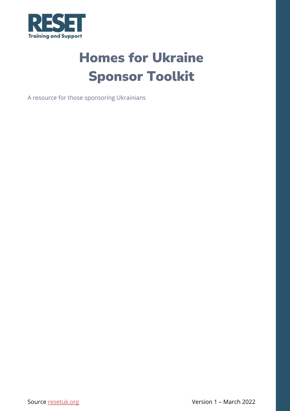<span id="page-0-0"></span>

# Homes for Ukraine Sponsor Toolkit

<span id="page-0-1"></span>A resource for those sponsoring Ukrainians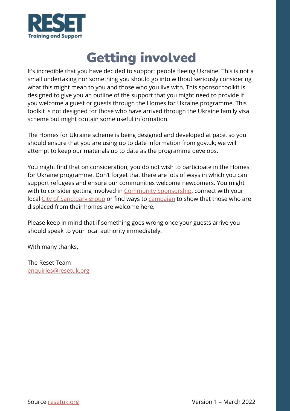

# Getting involved

<span id="page-1-0"></span>It's incredible that you have decided to support people fleeing Ukraine. This is not a small undertaking nor something you should go into without seriously considering what this might mean to you and those who you live with. This sponsor toolkit is designed to give you an outline of the support that you might need to provide if you welcome a guest or guests through the Homes for Ukraine programme. This toolkit is not designed for those who have arrived through the Ukraine family visa scheme but might contain some useful information.

The Homes for Ukraine scheme is being designed and developed at pace, so you should ensure that you are using up to date information from gov.uk; we will attempt to keep our materials up to date as the programme develops.

You might find that on consideration, you do not wish to participate in the Homes for Ukraine programme. Don't forget that there are lots of ways in which you can support refugees and ensure our communities welcome newcomers. You might with to consider getting involved in [Community Sponsorship,](https://resetuk.org/about/what-is-community-sponsorship) connect with your local [City of Sanctuary group](https://cityofsanctuary.org/groups/) or find ways to [campaign](https://togetherwithrefugees.org.uk/get-involved/) to show that those who are displaced from their homes are welcome here.

Please keep in mind that if something goes wrong once your guests arrive you should speak to your local authority immediately.

With many thanks,

The Reset Team [enquiries@resetuk.org](mailto:enquiries@resetuk.org)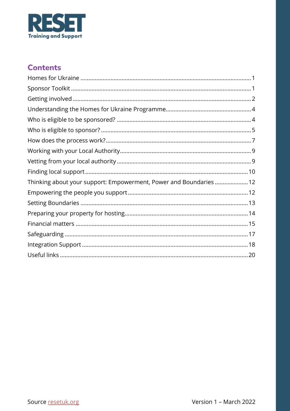

### **Contents**

| Thinking about your support: Empowerment, Power and Boundaries 12 |
|-------------------------------------------------------------------|
|                                                                   |
|                                                                   |
|                                                                   |
|                                                                   |
|                                                                   |
|                                                                   |
|                                                                   |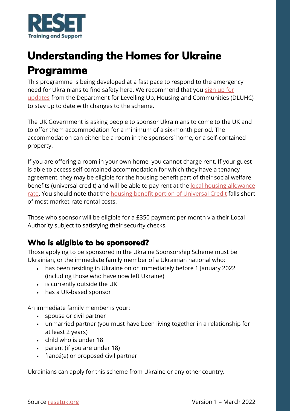

## <span id="page-3-0"></span>**Understanding the Homes for Ukraine Programme**

This programme is being developed at a fast pace to respond to the emergency need for Ukrainians to find safety here. We recommend that you [sign up for](https://www.gov.uk/guidance/homes-for-ukraine-scheme-frequently-asked-questions#stay-up-to-date)  [updates](https://www.gov.uk/guidance/homes-for-ukraine-scheme-frequently-asked-questions#stay-up-to-date) from the Department for Levelling Up, Housing and Communities (DLUHC) to stay up to date with changes to the scheme.

The UK Government is asking people to sponsor Ukrainians to come to the UK and to offer them accommodation for a minimum of a six-month period. The accommodation can either be a room in the sponsors' home, or a self-contained property.

If you are offering a room in your own home, you cannot charge rent. If your guest is able to access self-contained accommodation for which they have a tenancy agreement, they may be eligible for the housing benefit part of their social welfare benefits (universal credit) and will be able to pay rent at the <u>local housing allowance</u> [rate.](https://lha-direct.voa.gov.uk/search.aspx) You should note that the [housing benefit portion of Universal Credit](https://www.turn2us.org.uk/Benefit-guides/Housing-Benefit-(England-Scotland-and-Wales)/How-much-Housing-Benefit-will-I-get#guide-content) falls short of most market-rate rental costs.

Those who sponsor will be eligible for a £350 payment per month via their Local Authority subject to satisfying their security checks.

### <span id="page-3-1"></span>**Who is eligible to be sponsored?**

Those applying to be sponsored in the Ukraine Sponsorship Scheme must be Ukrainian, or the immediate family member of a Ukrainian national who:

- has been residing in Ukraine on or immediately before 1 January 2022 (including those who have now left Ukraine)
- is currently outside the UK
- has a UK-based sponsor

An immediate family member is your:

- spouse or civil partner
- unmarried partner (you must have been living together in a relationship for at least 2 years)
- child who is under 18
- parent (if you are under 18)
- fiancé(e) or proposed civil partner

Ukrainians can apply for this scheme from Ukraine or any other country.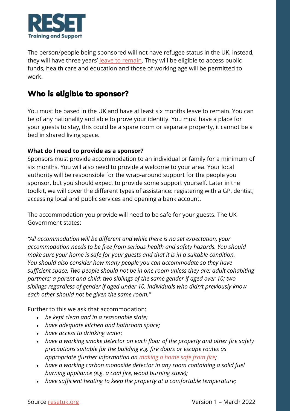

The person/people being sponsored will not have refugee status in the UK, instead, they will have three years' [leave to remain.](https://www.davidsonmorris.com/leave-to-remain/) They will be eligible to access public funds, health care and education and those of working age will be permitted to work.

### <span id="page-4-0"></span>**Who is eligible to sponsor?**

You must be based in the UK and have at least six months leave to remain. You can be of any nationality and able to prove your identity. You must have a place for your guests to stay, this could be a spare room or separate property, it cannot be a bed in shared living space.

#### **What do I need to provide as a sponsor?**

Sponsors must provide accommodation to an individual or family for a minimum of six months. You will also need to provide a welcome to your area. Your local authority will be responsible for the wrap-around support for the people you sponsor, but you should expect to provide some support yourself. Later in the toolkit, we will cover the different types of assistance: registering with a GP, dentist, accessing local and public services and opening a bank account.

The accommodation you provide will need to be safe for your guests. The UK Government states:

*"All accommodation will be different and while there is no set expectation, your accommodation needs to be free from serious health and safety hazards. You should make sure your home is safe for your guests and that it is in a suitable condition. You should also consider how many people you can accommodate so they have sufficient space. Two people should not be in one room unless they are: adult cohabiting partners; a parent and child; two siblings of the same gender if aged over 10; two siblings regardless of gender if aged under 10. Individuals who didn't previously know each other should not be given the same room."*

Further to this we ask that accommodation:

- *be kept clean and in a reasonable state;*
- *have adequate kitchen and bathroom space;*
- *have access to drinking water;*
- *have a working smoke detector on each floor of the property and other fire safety precautions suitable for the building e.g. fire doors or escape routes as appropriate (further information on [making a home safe from fire;](https://www.gov.uk/government/publications/make-your-home-safe-from-fire)*
- *have a working carbon monoxide detector in any room containing a solid fuel burning appliance (e.g. a coal fire, wood burning stove);*
- *have sufficient heating to keep the property at a comfortable temperature;*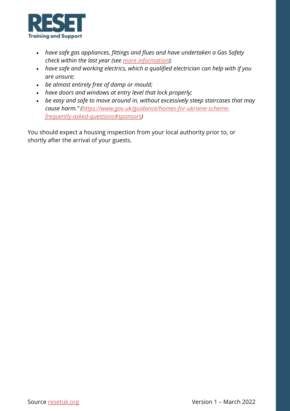

- *have safe gas appliances, fittings and flues and have undertaken a Gas Safety check within the last year (see [more information\)](https://www.hse.gov.uk/gas/domestic/faqlandlord.htm);*
- *have safe and working electrics, which a qualified electrician can help with if you are unsure;*
- *be almost entirely free of damp or mould;*
- *have doors and windows at entry level that lock properly;*
- *be easy and safe to move around in, without excessively steep staircases that may cause harm." ([https://www.gov.uk/guidance/homes-for-ukraine-scheme](https://www.gov.uk/guidance/homes-for-ukraine-scheme-frequently-asked-questions#sponsors)[frequently-asked-questions#sponsors\)](https://www.gov.uk/guidance/homes-for-ukraine-scheme-frequently-asked-questions#sponsors)*

You should expect a housing inspection from your local authority prior to, or shortly after the arrival of your guests.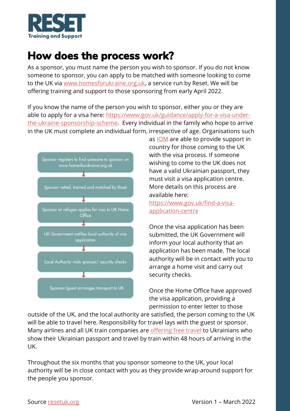

### <span id="page-6-0"></span>**How does the process work?**

As a sponsor, you must name the person you wish to sponsor. If you do not know someone to sponsor, you can apply to be matched with someone looking to come to the UK via [www.homesforukraine.org.uk,](http://www.homesforukraine.org.uk/) a service run by Reset. We will be offering training and support to those sponsoring from early April 2022.

If you know the name of the person you wish to sponsor, either you or they are able to apply for a visa here: [https://www.gov.uk/guidance/apply-for-a-visa-under](https://www.gov.uk/guidance/apply-for-a-visa-under-the-ukraine-sponsorship-scheme)[the-ukraine-sponsorship-scheme.](https://www.gov.uk/guidance/apply-for-a-visa-under-the-ukraine-sponsorship-scheme) Every individual in the family who hope to arrive in the UK must complete an individual form, irrespective of age. Organisations such



as [IOM](https://www.iom.int/where-we-work) are able to provide support in country for those coming to the UK with the visa process. If someone wishing to come to the UK does not have a valid Ukrainian passport, they must visit a visa application centre. More details on this process are available here:

[https://www.gov.uk/find-a-visa](https://www.gov.uk/find-a-visa-application-centre)[application-centre](https://www.gov.uk/find-a-visa-application-centre)

Once the visa application has been submitted, the UK Government will inform your local authority that an application has been made. The local authority will be in contact with you to arrange a home visit and carry out security checks.

Once the Home Office have approved the visa application, providing a permission to enter letter to those

outside of the UK, and the local authority are satisfied, the person coming to the UK will be able to travel here. Responsibility for travel lays with the guest or sponsor. Many airlines and all UK train companies are [offering free travel](https://www.nationalrail.co.uk/ukr-travel.aspx) to Ukrainians who show their Ukrainian passport and travel by train within 48 hours of arriving in the UK.

Throughout the six months that you sponsor someone to the UK, your local authority will be in close contact with you as they provide wrap-around support for the people you sponsor.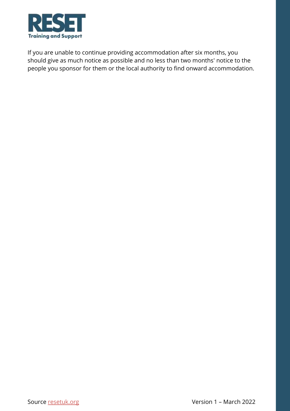

If you are unable to continue providing accommodation after six months, you should give as much notice as possible and no less than two months' notice to the people you sponsor for them or the local authority to find onward accommodation.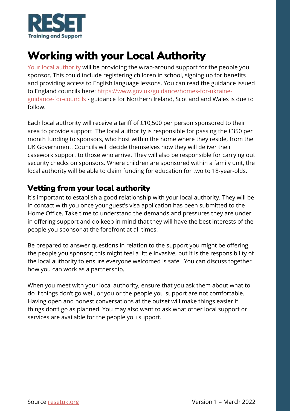

## <span id="page-8-0"></span>**Working with your Local Authority**

[Your local authority](https://www.gov.uk/find-local-council) will be providing the wrap-around support for the people you sponsor. This could include registering children in school, signing up for benefits and providing access to English language lessons. You can read the guidance issued to England councils here: [https://www.gov.uk/guidance/homes-for-ukraine](https://www.gov.uk/guidance/homes-for-ukraine-guidance-for-councils)[guidance-for-councils](https://www.gov.uk/guidance/homes-for-ukraine-guidance-for-councils) - guidance for Northern Ireland, Scotland and Wales is due to follow.

Each local authority will receive a tariff of £10,500 per person sponsored to their area to provide support. The local authority is responsible for passing the £350 per month funding to sponsors, who host within the home where they reside, from the UK Government. Councils will decide themselves how they will deliver their casework support to those who arrive. They will also be responsible for carrying out security checks on sponsors. Where children are sponsored within a family unit, the local authority will be able to claim funding for education for two to 18-year-olds.

### <span id="page-8-1"></span>**Vetting from your local authority**

It's important to establish a good relationship with your local authority. They will be in contact with you once your guest's visa application has been submitted to the Home Office. Take time to understand the demands and pressures they are under in offering support and do keep in mind that they will have the best interests of the people you sponsor at the forefront at all times.

Be prepared to answer questions in relation to the support you might be offering the people you sponsor; this might feel a little invasive, but it is the responsibility of the local authority to ensure everyone welcomed is safe. You can discuss together how you can work as a partnership.

When you meet with your local authority, ensure that you ask them about what to do if things don't go well, or you or the people you support are not comfortable. Having open and honest conversations at the outset will make things easier if things don't go as planned. You may also want to ask what other local support or services are available for the people you support.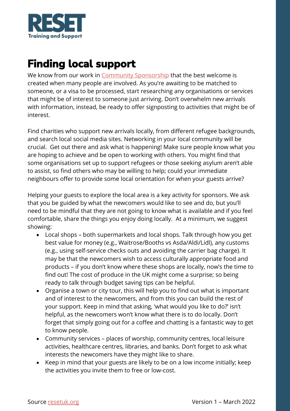

## <span id="page-9-0"></span>**Finding local support**

We know from our work in [Community Sponsorship](https://resetuk.org/about/what-is-community-sponsorship) that the best welcome is created when many people are involved. As you're awaiting to be matched to someone, or a visa to be processed, start researching any organisations or services that might be of interest to someone just arriving. Don't overwhelm new arrivals with information, instead, be ready to offer signposting to activities that might be of interest.

Find charities who support new arrivals locally, from different refugee backgrounds, and search local social media sites. Networking in your local community will be crucial. Get out there and ask what is happening! Make sure people know what you are hoping to achieve and be open to working with others. You might find that some organisations set up to support refugees or those seeking asylum aren't able to assist, so find others who may be willing to help; could your immediate neighbours offer to provide some local orientation for when your guests arrive?

Helping your guests to explore the local area is a key activity for sponsors. We ask that you be guided by what the newcomers would like to see and do, but you'll need to be mindful that they are not going to know what is available and if you feel comfortable, share the things you enjoy doing locally. At a minimum, we suggest showing:

- Local shops both supermarkets and local shops. Talk through how you get best value for money (e.g., Waitrose/Booths vs Asda/Aldi/Lidl), any customs (e.g., using self-service checks outs and avoiding the carrier bag charge). It may be that the newcomers wish to access culturally appropriate food and products – if you don't know where these shops are locally, now's the time to find out! The cost of produce in the UK might come a surprise; so being ready to talk through budget saving tips can be helpful.
- Organise a town or city tour, this will help you to find out what is important and of interest to the newcomers, and from this you can build the rest of your support. Keep in mind that asking, 'what would you like to do?' isn't helpful, as the newcomers won't know what there is to do locally. Don't forget that simply going out for a coffee and chatting is a fantastic way to get to know people.
- Community services places of worship, community centres, local leisure activities, healthcare centres, libraries, and banks. Don't forget to ask what interests the newcomers have they might like to share.
- Keep in mind that your guests are likely to be on a low income initially; keep the activities you invite them to free or low-cost.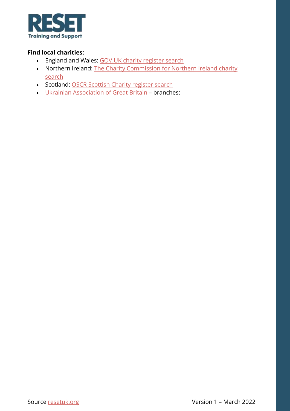

#### **Find local charities:**

- England and Wales: GOV.UK [charity register search](https://www.gov.uk/find-charity-information)
- Northern Ireland: The Charity Commission for Northern Ireland charity [search](https://www.charitycommissionni.org.uk/charity-search/?pageNumber=1)
- Scotland: OSCR [Scottish Charity register search](https://www.oscr.org.uk/search)
- [Ukrainian Association of Great Britain](https://www.augb.co.uk/branches.php) branches: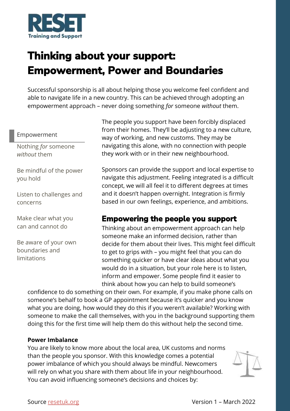

## <span id="page-11-0"></span>**Thinking about your support: Empowerment, Power and Boundaries**

Successful sponsorship is all about helping those you welcome feel confident and able to navigate life in a new country. This can be achieved through adopting an empowerment approach – never doing something *for* someone *without* them.

#### Empowerment

Nothing *for* someone *without* them

Be mindful of the power you hold

Listen to challenges and concerns

Make clear what you can and cannot do

Be aware of your own boundaries and limitations

The people you support have been forcibly displaced from their homes. They'll be adjusting to a new culture, way of working, and new customs. They may be navigating this alone, with no connection with people they work with or in their new neighbourhood.

Sponsors can provide the support and local expertise to navigate this adjustment. Feeling integrated is a difficult concept, we will all feel it to different degrees at times and it doesn't happen overnight. Integration is firmly based in our own feelings, experience, and ambitions.

### <span id="page-11-1"></span>**Empowering the people you support**

Thinking about an empowerment approach can help someone make an informed decision, rather than decide for them about their lives. This might feel difficult to get to grips with – you might feel that you can do something quicker or have clear ideas about what you would do in a situation, but your role here is to listen, inform and empower. Some people find it easier to think about how you can help to build someone's

confidence to do something on their own. For example, if you make phone calls on someone's behalf to book a GP appointment because it's quicker and you know what you are doing, how would they do this if you weren't available? Working with someone to make the call themselves, with you in the background supporting them doing this for the first time will help them do this without help the second time.

#### **Power Imbalance**

You are likely to know more about the local area, UK customs and norms than the people you sponsor. With this knowledge comes a potential power imbalance of which you should always be mindful. Newcomers will rely on what you share with them about life in your neighbourhood. You can avoid influencing someone's decisions and choices by:

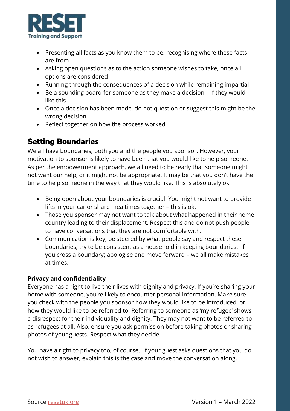

- Presenting all facts as you know them to be, recognising where these facts are from
- Asking open questions as to the action someone wishes to take, once all options are considered
- Running through the consequences of a decision while remaining impartial
- Be a sounding board for someone as they make a decision if they would like this
- Once a decision has been made, do not question or suggest this might be the wrong decision
- Reflect together on how the process worked

### <span id="page-12-0"></span>**Setting Boundaries**

We all have boundaries; both you and the people you sponsor. However, your motivation to sponsor is likely to have been that you would like to help someone. As per the empowerment approach, we all need to be ready that someone might not want our help, or it might not be appropriate. It may be that you don't have the time to help someone in the way that they would like. This is absolutely ok!

- Being open about your boundaries is crucial. You might not want to provide lifts in your car or share mealtimes together – this is ok.
- Those you sponsor may not want to talk about what happened in their home country leading to their displacement. Respect this and do not push people to have conversations that they are not comfortable with.
- Communication is key; be steered by what people say and respect these boundaries, try to be consistent as a household in keeping boundaries. If you cross a boundary; apologise and move forward – we all make mistakes at times.

#### **Privacy and confidentiality**

Everyone has a right to live their lives with dignity and privacy. If you're sharing your home with someone, you're likely to encounter personal information. Make sure you check with the people you sponsor how they would like to be introduced, or how they would like to be referred to. Referring to someone as 'my refugee' shows a disrespect for their individuality and dignity. They may not want to be referred to as refugees at all. Also, ensure you ask permission before taking photos or sharing photos of your guests. Respect what they decide.

You have a right to privacy too, of course. If your guest asks questions that you do not wish to answer, explain this is the case and move the conversation along.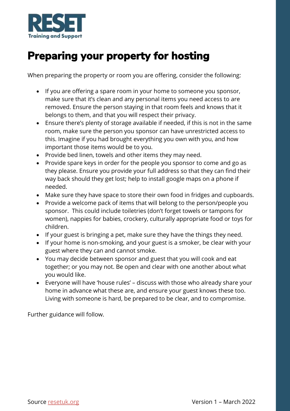

## <span id="page-13-0"></span>**Preparing your property for hosting**

When preparing the property or room you are offering, consider the following:

- If you are offering a spare room in your home to someone you sponsor, make sure that it's clean and any personal items you need access to are removed. Ensure the person staying in that room feels and knows that it belongs to them, and that you will respect their privacy.
- Ensure there's plenty of storage available if needed, if this is not in the same room, make sure the person you sponsor can have unrestricted access to this. Imagine if you had brought everything you own with you, and how important those items would be to you.
- Provide bed linen, towels and other items they may need.
- Provide spare keys in order for the people you sponsor to come and go as they please. Ensure you provide your full address so that they can find their way back should they get lost; help to install google maps on a phone if needed.
- Make sure they have space to store their own food in fridges and cupboards.
- Provide a welcome pack of items that will belong to the person/people you sponsor. This could include toiletries (don't forget towels or tampons for women), nappies for babies, crockery, culturally appropriate food or toys for children.
- If your guest is bringing a pet, make sure they have the things they need.
- If your home is non-smoking, and your guest is a smoker, be clear with your guest where they can and cannot smoke.
- You may decide between sponsor and guest that you will cook and eat together; or you may not. Be open and clear with one another about what you would like.
- Everyone will have 'house rules' discuss with those who already share your home in advance what these are, and ensure your guest knows these too. Living with someone is hard, be prepared to be clear, and to compromise.

Further guidance will follow.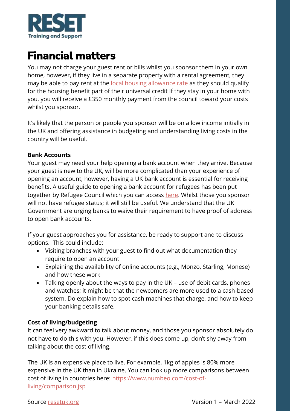

### <span id="page-14-0"></span>**Financial matters**

You may not charge your guest rent or bills whilst you sponsor them in your own home, however, if they live in a separate property with a rental agreement, they may be able to pay rent at the [local housing allowance rate](https://lha-direct.voa.gov.uk/search.aspx) as they should qualify for the housing benefit part of their universal credit If they stay in your home with you, you will receive a £350 monthly payment from the council toward your costs whilst you sponsor.

It's likely that the person or people you sponsor will be on a low income initially in the UK and offering assistance in budgeting and understanding living costs in the country will be useful.

#### **Bank Accounts**

Your guest may need your help opening a bank account when they arrive. Because your guest is new to the UK, will be more complicated than your experience of opening an account, however, having a UK bank account is essential for receiving benefits. A useful guide to opening a bank account for refugees has been put together by Refugee Council which you can access [here.](https://media.refugeecouncil.org.uk/wp-content/uploads/2020/11/05142710/Banking-Guide-for-Refugees-English.pdf) Whilst those you sponsor will not have refugee status; it will still be useful. We understand that the UK Government are urging banks to waive their requirement to have proof of address to open bank accounts.

If your guest approaches you for assistance, be ready to support and to discuss options. This could include:

- Visiting branches with your guest to find out what documentation they require to open an account
- Explaining the availability of online accounts (e.g., Monzo, Starling, Monese) and how these work
- Talking openly about the ways to pay in the UK use of debit cards, phones and watches; it might be that the newcomers are more used to a cash-based system. Do explain how to spot cash machines that charge, and how to keep your banking details safe.

#### **Cost of living/budgeting**

It can feel very awkward to talk about money, and those you sponsor absolutely do not have to do this with you. However, if this does come up, don't shy away from talking about the cost of living.

The UK is an expensive place to live. For example, 1kg of apples is 80% more expensive in the UK than in Ukraine. You can look up more comparisons between cost of living in countries here: [https://www.numbeo.com/cost-of](https://www.numbeo.com/cost-of-living/comparison.jsp)[living/comparison.jsp](https://www.numbeo.com/cost-of-living/comparison.jsp)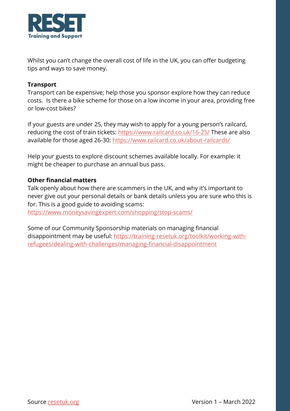

Whilst you can't change the overall cost of life in the UK, you can offer budgeting tips and ways to save money.

#### **Transport**

Transport can be expensive; help those you sponsor explore how they can reduce costs. Is there a bike scheme for those on a low income in your area, providing free or low-cost bikes?

If your guests are under 25, they may wish to apply for a young person's railcard, reducing the cost of train tickets:<https://www.railcard.co.uk/16-25/> These are also available for those aged 26-30:<https://www.railcard.co.uk/about-railcards/>

Help your guests to explore discount schemes available locally. For example: it might be cheaper to purchase an annual bus pass.

#### **Other financial matters**

Talk openly about how there are scammers in the UK, and why it's important to never give out your personal details or bank details unless you are sure who this is for. This is a good guide to avoiding scams:

<https://www.moneysavingexpert.com/shopping/stop-scams/>

Some of our Community Sponsorship materials on managing financial disappointment may be useful: [https://training-resetuk.org/toolkit/working-with](https://training-resetuk.org/toolkit/working-with-refugees/dealing-with-challenges/managing-financial-disappointment)[refugees/dealing-with-challenges/managing-financial-disappointment](https://training-resetuk.org/toolkit/working-with-refugees/dealing-with-challenges/managing-financial-disappointment)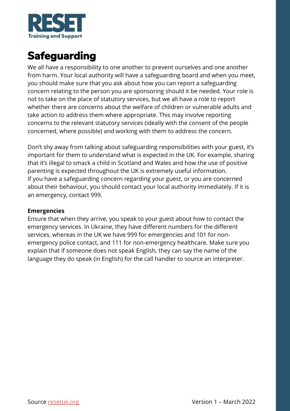

## <span id="page-16-0"></span>**Safeguarding**

We all have a responsibility to one another to prevent ourselves and one another from harm. Your local authority will have a safeguarding board and when you meet, you should make sure that you ask about how you can report a safeguarding concern relating to the person you are sponsoring should it be needed. Your role is not to take on the place of statutory services, but we all have a role to report whether there are concerns about the welfare of children or vulnerable adults and take action to address them where appropriate. This may involve reporting concerns to the relevant statutory services (ideally with the consent of the people concerned, where possible) and working with them to address the concern.

Don't shy away from talking about safeguarding responsibilities with your guest, it's important for them to understand what is expected in the UK. For example, sharing that it's illegal to smack a child in Scotland and Wales and how the use of positive parenting is expected throughout the UK is extremely useful information. If you have a safeguarding concern regarding your guest, or you are concerned about their behaviour, you should contact your local authority immediately. If it is an emergency, contact 999.

#### **Emergencies**

Ensure that when they arrive, you speak to your guest about how to contact the emergency services. In Ukraine, they have different numbers for the different services, whereas in the UK we have 999 for emergencies and 101 for nonemergency police contact, and 111 for non-emergency healthcare. Make sure you explain that if someone does not speak English, they can say the name of the language they do speak (in English) for the call handler to source an interpreter.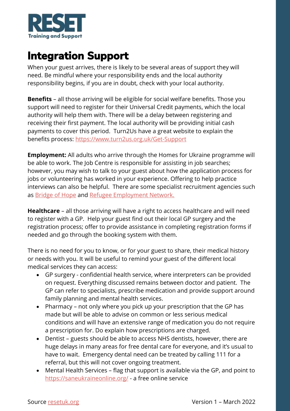

### <span id="page-17-0"></span>**Integration Support**

When your guest arrives, there is likely to be several areas of support they will need. Be mindful where your responsibility ends and the local authority responsibility begins, if you are in doubt, check with your local authority.

**Benefits** – all those arriving will be eligible for social welfare benefits. Those you support will need to register for their Universal Credit payments, which the local authority will help them with. There will be a delay between registering and receiving their first payment. The local authority will be providing initial cash payments to cover this period. Turn2Us have a great website to explain the benefits process:<https://www.turn2us.org.uk/Get-Support>

**Employment:** All adults who arrive through the Homes for Ukraine programme will be able to work. The Job Centre is responsible for assisting in job searches; however, you may wish to talk to your guest about how the application process for jobs or volunteering has worked in your experience. Offering to help practice interviews can also be helpful. There are some specialist recruitment agencies such as [Bridge of Hope](https://www.bridgeofhope.careers/) and [Refugee Employment Network.](https://refugeeemploymentnetwork.co.uk/job-opportunities)

**Healthcare** – all those arriving will have a right to access healthcare and will need to register with a GP. Help your guest find out their local GP surgery and the registration process; offer to provide assistance in completing registration forms if needed and go through the booking system with them.

There is no need for you to know, or for your guest to share, their medical history or needs with you. It will be useful to remind your guest of the different local medical services they can access:

- GP surgery confidential health service, where interpreters can be provided on request. Everything discussed remains between doctor and patient. The GP can refer to specialists, prescribe medication and provide support around family planning and mental health services.
- Pharmacy not only where you pick up your prescription that the GP has made but will be able to advise on common or less serious medical conditions and will have an extensive range of medication you do not require a prescription for. Do explain how prescriptions are charged.
- Dentist guests should be able to access NHS dentists, however, there are huge delays in many areas for free dental care for everyone, and it's usual to have to wait. Emergency dental need can be treated by calling 111 for a referral, but this will not cover ongoing treatment.
- Mental Health Services flag that support is available via the GP, and point to <https://saneukraineonline.org/> - a free online service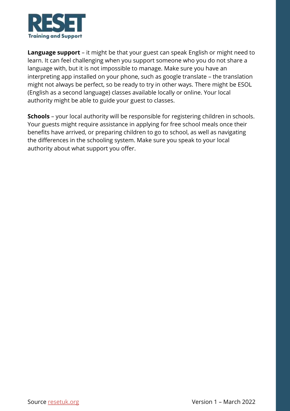

**Language support** – it might be that your guest can speak English or might need to learn. It can feel challenging when you support someone who you do not share a language with, but it is not impossible to manage. Make sure you have an interpreting app installed on your phone, such as google translate – the translation might not always be perfect, so be ready to try in other ways. There might be ESOL (English as a second language) classes available locally or online. Your local authority might be able to guide your guest to classes.

**Schools** – your local authority will be responsible for registering children in schools. Your guests might require assistance in applying for free school meals once their benefits have arrived, or preparing children to go to school, as well as navigating the differences in the schooling system. Make sure you speak to your local authority about what support you offer.